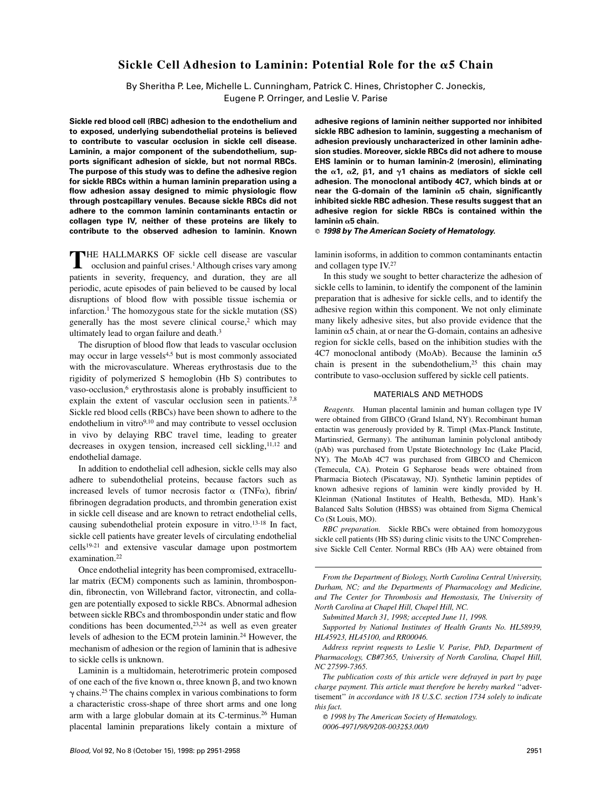# **Sickle Cell Adhesion to Laminin: Potential Role for the** a**5 Chain**

By Sheritha P. Lee, Michelle L. Cunningham, Patrick C. Hines, Christopher C. Joneckis, Eugene P. Orringer, and Leslie V. Parise

**Sickle red blood cell (RBC) adhesion to the endothelium and to exposed, underlying subendothelial proteins is believed to contribute to vascular occlusion in sickle cell disease. Laminin, a major component of the subendothelium, supports significant adhesion of sickle, but not normal RBCs. The purpose of this study was to define the adhesive region for sickle RBCs within a human laminin preparation using a flow adhesion assay designed to mimic physiologic flow through postcapillary venules. Because sickle RBCs did not adhere to the common laminin contaminants entactin or collagen type IV, neither of these proteins are likely to contribute to the observed adhesion to laminin. Known**

**THE HALLMARKS OF sickle cell disease are vascular occlusion and painful crises.<sup>1</sup> Although crises vary among** patients in severity, frequency, and duration, they are all periodic, acute episodes of pain believed to be caused by local disruptions of blood flow with possible tissue ischemia or infarction.<sup>1</sup> The homozygous state for the sickle mutation  $(SS)$ generally has the most severe clinical course, $2$  which may ultimately lead to organ failure and death.<sup>3</sup>

The disruption of blood flow that leads to vascular occlusion may occur in large vessels<sup>4,5</sup> but is most commonly associated with the microvasculature. Whereas erythrostasis due to the rigidity of polymerized S hemoglobin (Hb S) contributes to vaso-occlusion,<sup>6</sup> erythrostasis alone is probably insufficient to explain the extent of vascular occlusion seen in patients.7,8 Sickle red blood cells (RBCs) have been shown to adhere to the endothelium in vitro<sup>9,10</sup> and may contribute to vessel occlusion in vivo by delaying RBC travel time, leading to greater decreases in oxygen tension, increased cell sickling, $11,12$  and endothelial damage.

In addition to endothelial cell adhesion, sickle cells may also adhere to subendothelial proteins, because factors such as increased levels of tumor necrosis factor  $\alpha$  (TNF $\alpha$ ), fibrin/ fibrinogen degradation products, and thrombin generation exist in sickle cell disease and are known to retract endothelial cells, causing subendothelial protein exposure in vitro.13-18 In fact, sickle cell patients have greater levels of circulating endothelial cells19-21 and extensive vascular damage upon postmortem examination.22

Once endothelial integrity has been compromised, extracellular matrix (ECM) components such as laminin, thrombospondin, fibronectin, von Willebrand factor, vitronectin, and collagen are potentially exposed to sickle RBCs. Abnormal adhesion between sickle RBCs and thrombospondin under static and flow conditions has been documented, $2^{3,24}$  as well as even greater levels of adhesion to the ECM protein laminin.24 However, the mechanism of adhesion or the region of laminin that is adhesive to sickle cells is unknown.

Laminin is a multidomain, heterotrimeric protein composed of one each of the five known  $\alpha$ , three known  $\beta$ , and two known  $\gamma$  chains.<sup>25</sup> The chains complex in various combinations to form a characteristic cross-shape of three short arms and one long arm with a large globular domain at its C-terminus.26 Human placental laminin preparations likely contain a mixture of **adhesive regions of laminin neither supported nor inhibited sickle RBC adhesion to laminin, suggesting a mechanism of adhesion previously uncharacterized in other laminin adhesion studies. Moreover, sickle RBCs did not adhere to mouse EHS laminin or to human laminin-2 (merosin), eliminating** the  $\alpha$ 1,  $\alpha$ 2,  $\beta$ 1, and  $\gamma$ 1 chains as mediators of sickle cell **adhesion. The monoclonal antibody 4C7, which binds at or near the G-domain of the laminin** a**5 chain, significantly inhibited sickle RBC adhesion. These results suggest that an adhesive region for sickle RBCs is contained within the laminin** a**5 chain.**

**1998 by The American Society of Hematology.**

laminin isoforms, in addition to common contaminants entactin and collagen type IV.27

In this study we sought to better characterize the adhesion of sickle cells to laminin, to identify the component of the laminin preparation that is adhesive for sickle cells, and to identify the adhesive region within this component. We not only eliminate many likely adhesive sites, but also provide evidence that the laminin  $\alpha$ 5 chain, at or near the G-domain, contains an adhesive region for sickle cells, based on the inhibition studies with the 4C7 monoclonal antibody (MoAb). Because the laminin  $\alpha$ 5 chain is present in the subendothelium, $25$  this chain may contribute to vaso-occlusion suffered by sickle cell patients.

## MATERIALS AND METHODS

*Reagents.* Human placental laminin and human collagen type IV were obtained from GIBCO (Grand Island, NY). Recombinant human entactin was generously provided by R. Timpl (Max-Planck Institute, Martinsried, Germany). The antihuman laminin polyclonal antibody (pAb) was purchased from Upstate Biotechnology Inc (Lake Placid, NY). The MoAb 4C7 was purchased from GIBCO and Chemicon (Temecula, CA). Protein G Sepharose beads were obtained from Pharmacia Biotech (Piscataway, NJ). Synthetic laminin peptides of known adhesive regions of laminin were kindly provided by H. Kleinman (National Institutes of Health, Bethesda, MD). Hank's Balanced Salts Solution (HBSS) was obtained from Sigma Chemical Co (St Louis, MO).

*RBC preparation.* Sickle RBCs were obtained from homozygous sickle cell patients (Hb SS) during clinic visits to the UNC Comprehensive Sickle Cell Center. Normal RBCs (Hb AA) were obtained from

*From the Department of Biology, North Carolina Central University, Durham, NC; and the Departments of Pharmacology and Medicine, and The Center for Thrombosis and Hemostasis, The University of North Carolina at Chapel Hill, Chapel Hill, NC.*

*Submitted March 31, 1998; accepted June 11, 1998.*

*Supported by National Institutes of Health Grants No. HL58939, HL45923, HL45100, and RR00046.*

*Address reprint requests to Leslie V. Parise, PhD, Department of Pharmacology, CB#7365, University of North Carolina, Chapel Hill, NC 27599-7365.*

*The publication costs of this article were defrayed in part by page charge payment. This article must therefore be hereby marked* ''advertisement'' *in accordance with 18 U.S.C. section 1734 solely to indicate this fact.*

*1998 by The American Society of Hematology. 0006-4971/98/9208-0032\$3.00/0*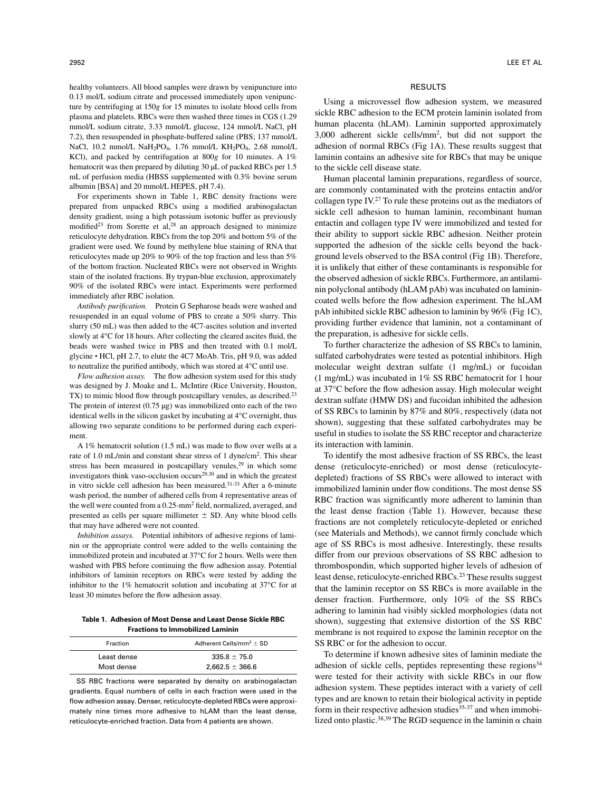healthy volunteers. All blood samples were drawn by venipuncture into 0.13 mol/L sodium citrate and processed immediately upon venipuncture by centrifuging at 150*g* for 15 minutes to isolate blood cells from plasma and platelets. RBCs were then washed three times in CGS (1.29 mmol/L sodium citrate, 3.33 mmol/L glucose, 124 mmol/L NaCl, pH 7.2), then resuspended in phosphate-buffered saline (PBS; 137 mmol/L NaCl, 10.2 mmol/L NaH<sub>2</sub>PO<sub>4</sub>, 1.76 mmol/L KH<sub>2</sub>PO<sub>4</sub>, 2.68 mmol/L KCl), and packed by centrifugation at 800*g* for 10 minutes. A 1% hematocrit was then prepared by diluting 30  $\mu$ L of packed RBCs per 1.5 mL of perfusion media (HBSS supplemented with 0.3% bovine serum albumin [BSA] and 20 mmol/L HEPES, pH 7.4).

For experiments shown in Table 1, RBC density fractions were prepared from unpacked RBCs using a modified arabinogalactan density gradient, using a high potassium isotonic buffer as previously modified<sup>23</sup> from Sorette et al,<sup>28</sup> an approach designed to minimize reticulocyte dehydration. RBCs from the top 20% and bottom 5% of the gradient were used. We found by methylene blue staining of RNA that reticulocytes made up 20% to 90% of the top fraction and less than 5% of the bottom fraction. Nucleated RBCs were not observed in Wrights stain of the isolated fractions. By trypan-blue exclusion, approximately 90% of the isolated RBCs were intact. Experiments were performed immediately after RBC isolation.

*Antibody purification.* Protein G Sepharose beads were washed and resuspended in an equal volume of PBS to create a 50% slurry. This slurry (50 mL) was then added to the 4C7-ascites solution and inverted slowly at 4°C for 18 hours. After collecting the cleared ascites fluid, the beads were washed twice in PBS and then treated with 0.1 mol/L glycine HCl, pH 2.7, to elute the 4C7 MoAb. Tris, pH 9.0, was added to neutralize the purified antibody, which was stored at 4°C until use.

*Flow adhesion assay.* The flow adhesion system used for this study was designed by J. Moake and L. McIntire (Rice University, Houston, TX) to mimic blood flow through postcapillary venules, as described.<sup>23</sup> The protein of interest  $(0.75 \mu g)$  was immobilized onto each of the two identical wells in the silicon gasket by incubating at 4°C overnight, thus allowing two separate conditions to be performed during each experiment.

A 1% hematocrit solution (1.5 mL) was made to flow over wells at a rate of 1.0 mL/min and constant shear stress of 1 dyne/cm2. This shear stress has been measured in postcapillary venules,<sup>29</sup> in which some investigators think vaso-occlusion occurs<sup>29,30</sup> and in which the greatest in vitro sickle cell adhesion has been measured.31-33 After a 6-minute wash period, the number of adhered cells from 4 representative areas of the well were counted from a 0.25-mm2 field, normalized, averaged, and presented as cells per square millimeter  $\pm$  SD. Any white blood cells that may have adhered were not counted.

*Inhibition assays.* Potential inhibitors of adhesive regions of laminin or the appropriate control were added to the wells containing the immobilized protein and incubated at 37°C for 2 hours. Wells were then washed with PBS before continuing the flow adhesion assay. Potential inhibitors of laminin receptors on RBCs were tested by adding the inhibitor to the 1% hematocrit solution and incubating at 37°C for at least 30 minutes before the flow adhesion assay.

**Table 1. Adhesion of Most Dense and Least Dense Sickle RBC Fractions to Immobilized Laminin**

| Fraction    | Adherent Cells/mm <sup>2</sup> $\pm$ SD |
|-------------|-----------------------------------------|
| Least dense | $335.8 + 75.0$                          |
| Most dense  | $2.662.5 \pm 366.6$                     |

SS RBC fractions were separated by density on arabinogalactan gradients. Equal numbers of cells in each fraction were used in the flow adhesion assay. Denser, reticulocyte-depleted RBCs were approximately nine times more adhesive to hLAM than the least dense, reticulocyte-enriched fraction. Data from 4 patients are shown.

## RESULTS

Using a microvessel flow adhesion system, we measured sickle RBC adhesion to the ECM protein laminin isolated from human placenta (hLAM). Laminin supported approximately 3,000 adherent sickle cells/mm2, but did not support the adhesion of normal RBCs (Fig 1A). These results suggest that laminin contains an adhesive site for RBCs that may be unique to the sickle cell disease state.

Human placental laminin preparations, regardless of source, are commonly contaminated with the proteins entactin and/or collagen type IV.27 To rule these proteins out as the mediators of sickle cell adhesion to human laminin, recombinant human entactin and collagen type IV were immobilized and tested for their ability to support sickle RBC adhesion. Neither protein supported the adhesion of the sickle cells beyond the background levels observed to the BSA control (Fig 1B). Therefore, it is unlikely that either of these contaminants is responsible for the observed adhesion of sickle RBCs. Furthermore, an antilaminin polyclonal antibody (hLAM pAb) was incubated on laminincoated wells before the flow adhesion experiment. The hLAM pAb inhibited sickle RBC adhesion to laminin by 96% (Fig 1C), providing further evidence that laminin, not a contaminant of the preparation, is adhesive for sickle cells.

To further characterize the adhesion of SS RBCs to laminin, sulfated carbohydrates were tested as potential inhibitors. High molecular weight dextran sulfate (1 mg/mL) or fucoidan (1 mg/mL) was incubated in 1% SS RBC hematocrit for 1 hour at 37°C before the flow adhesion assay. High molecular weight dextran sulfate (HMW DS) and fucoidan inhibited the adhesion of SS RBCs to laminin by 87% and 80%, respectively (data not shown), suggesting that these sulfated carbohydrates may be useful in studies to isolate the SS RBC receptor and characterize its interaction with laminin.

To identify the most adhesive fraction of SS RBCs, the least dense (reticulocyte-enriched) or most dense (reticulocytedepleted) fractions of SS RBCs were allowed to interact with immobilized laminin under flow conditions. The most dense SS RBC fraction was significantly more adherent to laminin than the least dense fraction (Table 1). However, because these fractions are not completely reticulocyte-depleted or enriched (see Materials and Methods), we cannot firmly conclude which age of SS RBCs is most adhesive. Interestingly, these results differ from our previous observations of SS RBC adhesion to thrombospondin, which supported higher levels of adhesion of least dense, reticulocyte-enriched RBCs.23 These results suggest that the laminin receptor on SS RBCs is more available in the denser fraction. Furthermore, only 10% of the SS RBCs adhering to laminin had visibly sickled morphologies (data not shown), suggesting that extensive distortion of the SS RBC membrane is not required to expose the laminin receptor on the SS RBC or for the adhesion to occur.

To determine if known adhesive sites of laminin mediate the adhesion of sickle cells, peptides representing these regions<sup>34</sup> were tested for their activity with sickle RBCs in our flow adhesion system. These peptides interact with a variety of cell types and are known to retain their biological activity in peptide form in their respective adhesion studies<sup>35-37</sup> and when immobilized onto plastic.<sup>38,39</sup> The RGD sequence in the laminin  $\alpha$  chain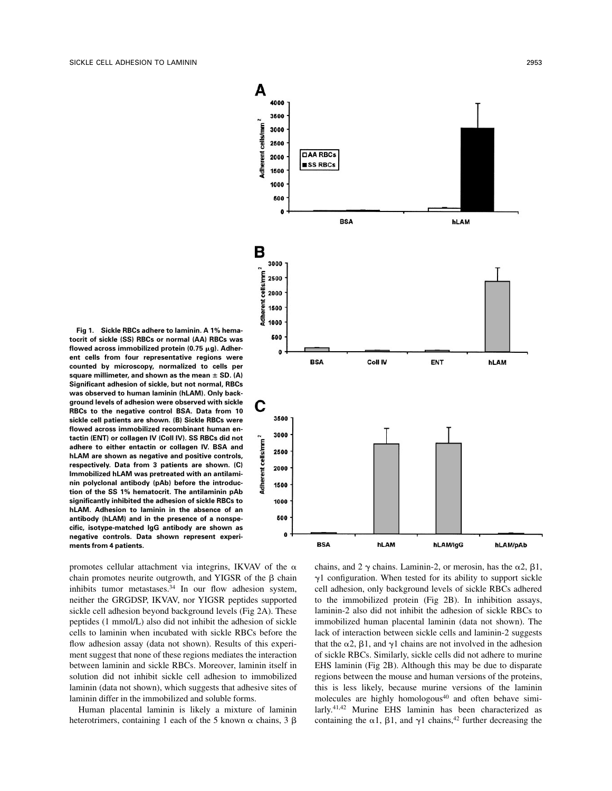**Fig 1. Sickle RBCs adhere to laminin. A 1% hematocrit of sickle (SS) RBCs or normal (AA) RBCs was** flowed across immobilized protein (0.75  $\mu$ g). Adher**ent cells from four representative regions were counted by microscopy, normalized to cells per** square millimeter, and shown as the mean  $\pm$  SD. (A) **Significant adhesion of sickle, but not normal, RBCs was observed to human laminin (hLAM). Only background levels of adhesion were observed with sickle RBCs to the negative control BSA. Data from 10 sickle cell patients are shown. (B) Sickle RBCs were flowed across immobilized recombinant human entactin (ENT) or collagen IV (Coll IV). SS RBCs did not adhere to either entactin or collagen IV. BSA and hLAM are shown as negative and positive controls, respectively. Data from 3 patients are shown. (C) Immobilized hLAM was pretreated with an antilaminin polyclonal antibody (pAb) before the introduction of the SS 1% hematocrit. The antilaminin pAb significantly inhibited the adhesion of sickle RBCs to hLAM. Adhesion to laminin in the absence of an antibody (hLAM) and in the presence of a nonspecific, isotype-matched IgG antibody are shown as negative controls. Data shown represent experiments from 4 patients.**

promotes cellular attachment via integrins, IKVAV of the  $\alpha$ chain promotes neurite outgrowth, and YIGSR of the  $\beta$  chain inhibits tumor metastases.<sup>34</sup> In our flow adhesion system, neither the GRGDSP, IKVAV, nor YIGSR peptides supported sickle cell adhesion beyond background levels (Fig 2A). These peptides (1 mmol/L) also did not inhibit the adhesion of sickle cells to laminin when incubated with sickle RBCs before the flow adhesion assay (data not shown). Results of this experiment suggest that none of these regions mediates the interaction between laminin and sickle RBCs. Moreover, laminin itself in solution did not inhibit sickle cell adhesion to immobilized laminin (data not shown), which suggests that adhesive sites of laminin differ in the immobilized and soluble forms.

Human placental laminin is likely a mixture of laminin heterotrimers, containing 1 each of the 5 known  $\alpha$  chains, 3  $\beta$ 



chains, and 2  $\gamma$  chains. Laminin-2, or merosin, has the  $\alpha$ 2,  $\beta$ 1,  $\gamma$ 1 configuration. When tested for its ability to support sickle cell adhesion, only background levels of sickle RBCs adhered to the immobilized protein (Fig 2B). In inhibition assays, laminin-2 also did not inhibit the adhesion of sickle RBCs to immobilized human placental laminin (data not shown). The lack of interaction between sickle cells and laminin-2 suggests that the  $\alpha$ 2,  $\beta$ 1, and  $\gamma$ 1 chains are not involved in the adhesion of sickle RBCs. Similarly, sickle cells did not adhere to murine EHS laminin (Fig 2B). Although this may be due to disparate regions between the mouse and human versions of the proteins, this is less likely, because murine versions of the laminin molecules are highly homologous<sup>40</sup> and often behave similarly.41,42 Murine EHS laminin has been characterized as containing the  $\alpha$ 1,  $\beta$ 1, and  $\gamma$ 1 chains,<sup>42</sup> further decreasing the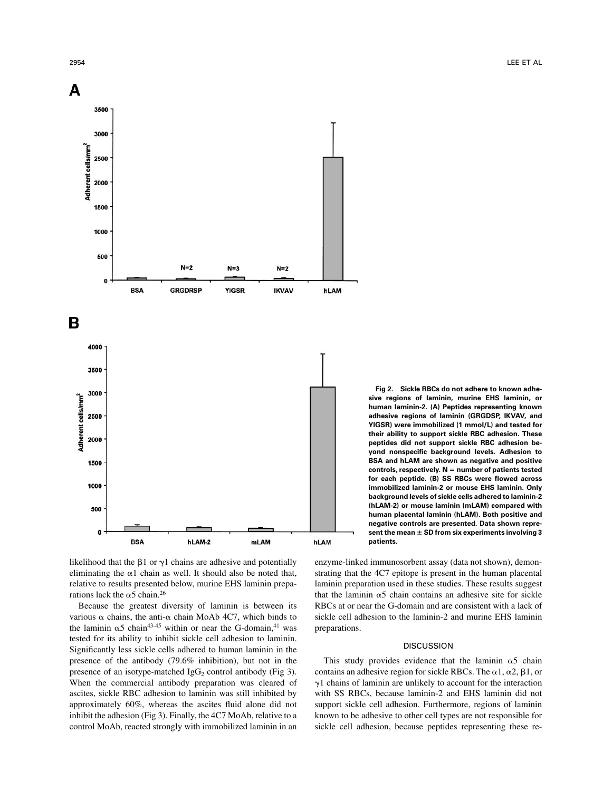

**Fig 2. Sickle RBCs do not adhere to known adhesive regions of laminin, murine EHS laminin, or human laminin-2. (A) Peptides representing known adhesive regions of laminin (GRGDSP, IKVAV, and YIGSR) were immobilized (1 mmol/L) and tested for their ability to support sickle RBC adhesion. These peptides did not support sickle RBC adhesion beyond nonspecific background levels. Adhesion to BSA and hLAM are shown as negative and positive** controls, respectively. N = number of patients tested **for each peptide. (B) SS RBCs were flowed across immobilized laminin-2 or mouse EHS laminin. Only background levels of sickle cells adhered to laminin-2 (hLAM-2) or mouse laminin (mLAM) compared with human placental laminin (hLAM). Both positive and negative controls are presented. Data shown repre**sent the mean  $\pm$  SD from six experiments involving 3 **patients.**

likelihood that the  $\beta$ 1 or  $\gamma$ 1 chains are adhesive and potentially eliminating the  $\alpha$ 1 chain as well. It should also be noted that, relative to results presented below, murine EHS laminin preparations lack the  $\alpha$ 5 chain.<sup>26</sup>

Because the greatest diversity of laminin is between its various  $\alpha$  chains, the anti- $\alpha$  chain MoAb 4C7, which binds to the laminin  $\alpha$ 5 chain<sup>43-45</sup> within or near the G-domain,<sup>41</sup> was tested for its ability to inhibit sickle cell adhesion to laminin. Significantly less sickle cells adhered to human laminin in the presence of the antibody (79.6% inhibition), but not in the presence of an isotype-matched  $IgG_2$  control antibody (Fig 3). When the commercial antibody preparation was cleared of ascites, sickle RBC adhesion to laminin was still inhibited by approximately 60%, whereas the ascites fluid alone did not inhibit the adhesion (Fig 3). Finally, the 4C7 MoAb, relative to a control MoAb, reacted strongly with immobilized laminin in an enzyme-linked immunosorbent assay (data not shown), demonstrating that the 4C7 epitope is present in the human placental laminin preparation used in these studies. These results suggest that the laminin  $\alpha$ 5 chain contains an adhesive site for sickle RBCs at or near the G-domain and are consistent with a lack of sickle cell adhesion to the laminin-2 and murine EHS laminin preparations.

#### **DISCUSSION**

This study provides evidence that the laminin  $\alpha$ 5 chain contains an adhesive region for sickle RBCs. The  $\alpha$ 1,  $\alpha$ 2,  $\beta$ 1, or  $\gamma$ 1 chains of laminin are unlikely to account for the interaction with SS RBCs, because laminin-2 and EHS laminin did not support sickle cell adhesion. Furthermore, regions of laminin known to be adhesive to other cell types are not responsible for sickle cell adhesion, because peptides representing these re-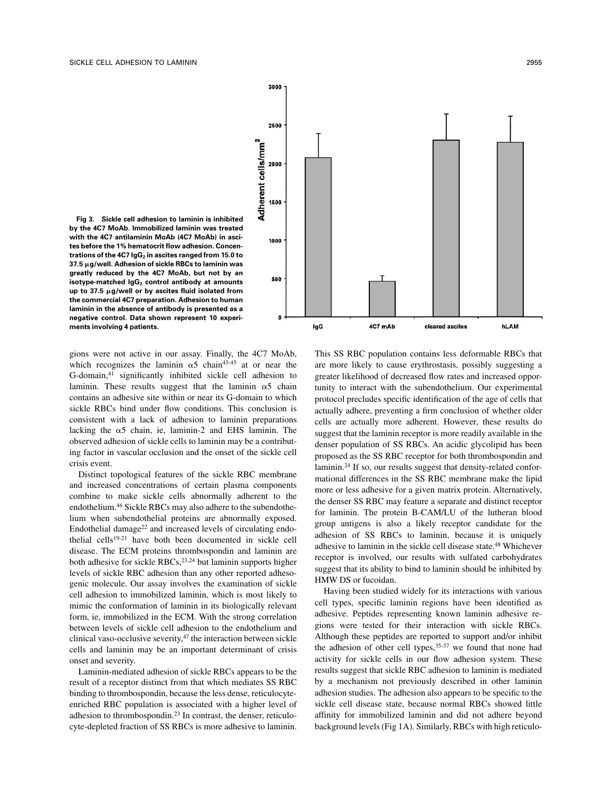

**Fig 3. Sickle cell adhesion to laminin is inhibited by the 4C7 MoAb. Immobilized laminin was treated with the 4C7 antilaminin MoAb (4C7 MoAb) in ascites before the 1% hematocrit flow adhesion. Concen**trations of the 4C7 IgG<sub>2</sub> in ascites ranged from 15.0 to **37.5** m**g/well. Adhesion of sickle RBCs to laminin was greatly reduced by the 4C7 MoAb, but not by an isotype-matched IgG<sub>2</sub> control antibody at amounts up to 37.5** m**g/well or by ascites fluid isolated from the commercial 4C7 preparation. Adhesion to human laminin in the absence of antibody is presented as a negative control. Data shown represent 10 experiments involving 4 patients.**

gions were not active in our assay. Finally, the 4C7 MoAb, which recognizes the laminin  $\alpha$ 5 chain<sup>43-45</sup> at or near the G-domain,41 significantly inhibited sickle cell adhesion to laminin. These results suggest that the laminin  $\alpha$ 5 chain contains an adhesive site within or near its G-domain to which sickle RBCs bind under flow conditions. This conclusion is consistent with a lack of adhesion to laminin preparations lacking the  $\alpha$ 5 chain, ie, laminin-2 and EHS laminin. The observed adhesion of sickle cells to laminin may be a contributing factor in vascular occlusion and the onset of the sickle cell crisis event.

Distinct topological features of the sickle RBC membrane and increased concentrations of certain plasma components combine to make sickle cells abnormally adherent to the endothelium.46 Sickle RBCs may also adhere to the subendothelium when subendothelial proteins are abnormally exposed. Endothelial damage $^{22}$  and increased levels of circulating endothelial cells<sup>19-21</sup> have both been documented in sickle cell disease. The ECM proteins thrombospondin and laminin are both adhesive for sickle RBCs,<sup>23,24</sup> but laminin supports higher levels of sickle RBC adhesion than any other reported adhesogenic molecule. Our assay involves the examination of sickle cell adhesion to immobilized laminin, which is most likely to mimic the conformation of laminin in its biologically relevant form, ie, immobilized in the ECM. With the strong correlation between levels of sickle cell adhesion to the endothelium and clinical vaso-occlusive severity, $47$  the interaction between sickle cells and laminin may be an important determinant of crisis onset and severity.

Laminin-mediated adhesion of sickle RBCs appears to be the result of a receptor distinct from that which mediates SS RBC binding to thrombospondin, because the less dense, reticulocyteenriched RBC population is associated with a higher level of adhesion to thrombospondin.23 In contrast, the denser, reticulocyte-depleted fraction of SS RBCs is more adhesive to laminin. This SS RBC population contains less deformable RBCs that are more likely to cause erythrostasis, possibly suggesting a greater likelihood of decreased flow rates and increased opportunity to interact with the subendothelium. Our experimental protocol precludes specific identification of the age of cells that actually adhere, preventing a firm conclusion of whether older cells are actually more adherent. However, these results do suggest that the laminin receptor is more readily available in the denser population of SS RBCs. An acidic glycolipid has been proposed as the SS RBC receptor for both thrombospondin and laminin.24 If so, our results suggest that density-related conformational differences in the SS RBC membrane make the lipid more or less adhesive for a given matrix protein. Alternatively, the denser SS RBC may feature a separate and distinct receptor for laminin. The protein B-CAM/LU of the lutheran blood group antigens is also a likely receptor candidate for the adhesion of SS RBCs to laminin, because it is uniquely adhesive to laminin in the sickle cell disease state.48 Whichever receptor is involved, our results with sulfated carbohydrates suggest that its ability to bind to laminin should be inhibited by HMW DS or fucoidan.

Having been studied widely for its interactions with various cell types, specific laminin regions have been identified as adhesive. Peptides representing known laminin adhesive regions were tested for their interaction with sickle RBCs. Although these peptides are reported to support and/or inhibit the adhesion of other cell types,<sup>35-37</sup> we found that none had activity for sickle cells in our flow adhesion system. These results suggest that sickle RBC adhesion to laminin is mediated by a mechanism not previously described in other laminin adhesion studies. The adhesion also appears to be specific to the sickle cell disease state, because normal RBCs showed little affinity for immobilized laminin and did not adhere beyond background levels (Fig 1A). Similarly, RBCs with high reticulo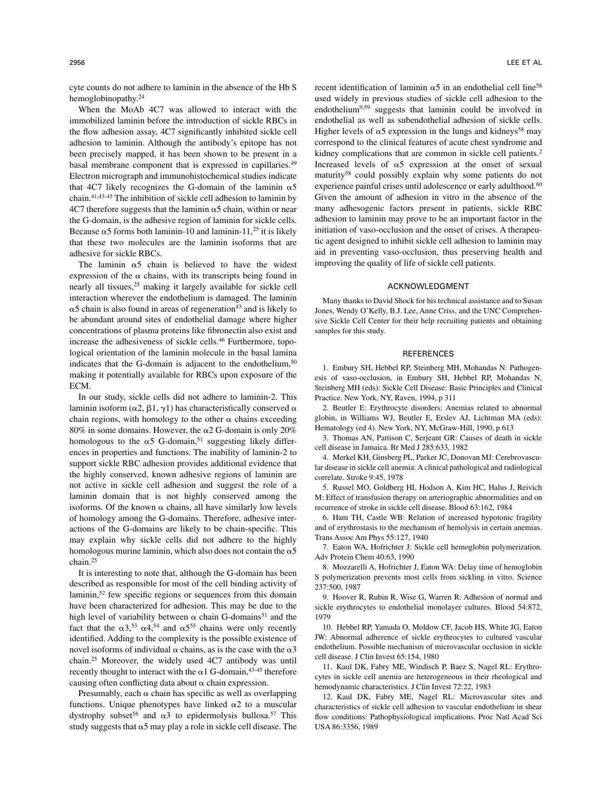cyte counts do not adhere to laminin in the absence of the Hb S hemoglobinopathy.24

When the MoAb 4C7 was allowed to interact with the immobilized laminin before the introduction of sickle RBCs in the flow adhesion assay, 4C7 significantly inhibited sickle cell adhesion to laminin. Although the antibody's epitope has not been precisely mapped, it has been shown to be present in a basal membrane component that is expressed in capillaries.<sup>49</sup> Electron micrograph and immunohistochemical studies indicate that 4C7 likely recognizes the G-domain of the laminin  $\alpha$ 5 chain.41,43-45 The inhibition of sickle cell adhesion to laminin by  $4C7$  therefore suggests that the laminin  $\alpha$ 5 chain, within or near the G-domain, is the adhesive region of laminin for sickle cells. Because  $\alpha$ 5 forms both laminin-10 and laminin-11,<sup>25</sup> it is likely that these two molecules are the laminin isoforms that are adhesive for sickle RBCs.

The laminin  $\alpha$ 5 chain is believed to have the widest expression of the  $\alpha$  chains, with its transcripts being found in nearly all tissues,25 making it largely available for sickle cell interaction wherever the endothelium is damaged. The laminin  $\alpha$ 5 chain is also found in areas of regeneration<sup>43</sup> and is likely to be abundant around sites of endothelial damage where higher concentrations of plasma proteins like fibronectin also exist and increase the adhesiveness of sickle cells.<sup>46</sup> Furthermore, topological orientation of the laminin molecule in the basal lamina indicates that the G-domain is adjacent to the endothelium, $50$ making it potentially available for RBCs upon exposure of the ECM.

In our study, sickle cells did not adhere to laminin-2. This laminin isoform ( $\alpha$ 2,  $\beta$ 1,  $\gamma$ 1) has characteristically conserved  $\alpha$ chain regions, with homology to the other  $\alpha$  chains exceeding 80% in some domains. However, the  $\alpha$ 2 G-domain is only 20% homologous to the  $\alpha$ 5 G-domain,<sup>51</sup> suggesting likely differences in properties and functions. The inability of laminin-2 to support sickle RBC adhesion provides additional evidence that the highly conserved, known adhesive regions of laminin are not active in sickle cell adhesion and suggest the role of a laminin domain that is not highly conserved among the isoforms. Of the known  $\alpha$  chains, all have similarly low levels of homology among the G-domains. Therefore, adhesive interactions of the G-domains are likely to be chain-specific. This may explain why sickle cells did not adhere to the highly homologous murine laminin, which also does not contain the  $\alpha$ 5 chain.25

It is interesting to note that, although the G-domain has been described as responsible for most of the cell binding activity of laminin,<sup>52</sup> few specific regions or sequences from this domain have been characterized for adhesion. This may be due to the high level of variability between  $\alpha$  chain G-domains<sup>51</sup> and the fact that the  $\alpha$ 3,<sup>53</sup>  $\alpha$ 4,<sup>54</sup> and  $\alpha$ 5<sup>55</sup> chains were only recently identified. Adding to the complexity is the possible existence of novel isoforms of individual  $\alpha$  chains, as is the case with the  $\alpha$ 3 chain.25 Moreover, the widely used 4C7 antibody was until recently thought to interact with the  $\alpha$ 1 G-domain, <sup>43-45</sup> therefore causing often conflicting data about  $\alpha$  chain expression.

Presumably, each  $\alpha$  chain has specific as well as overlapping functions. Unique phenotypes have linked  $\alpha$ 2 to a muscular dystrophy subset<sup>56</sup> and  $\alpha$ 3 to epidermolysis bullosa.<sup>57</sup> This study suggests that  $\alpha$ 5 may play a role in sickle cell disease. The recent identification of laminin  $\alpha$ 5 in an endothelial cell line<sup>58</sup> used widely in previous studies of sickle cell adhesion to the endothelium<sup>9,59</sup> suggests that laminin could be involved in endothelial as well as subendothelial adhesion of sickle cells. Higher levels of  $\alpha$ 5 expression in the lungs and kidneys<sup>58</sup> may correspond to the clinical features of acute chest syndrome and kidney complications that are common in sickle cell patients.<sup>2</sup> Increased levels of  $\alpha$ 5 expression at the onset of sexual maturity58 could possibly explain why some patients do not experience painful crises until adolescence or early adulthood.<sup>60</sup> Given the amount of adhesion in vitro in the absence of the many adhesogenic factors present in patients, sickle RBC adhesion to laminin may prove to be an important factor in the initiation of vaso-occlusion and the onset of crises. A therapeutic agent designed to inhibit sickle cell adhesion to laminin may aid in preventing vaso-occlusion, thus preserving health and improving the quality of life of sickle cell patients.

### ACKNOWLEDGMENT

Many thanks to David Shock for his technical assistance and to Susan Jones, Wendy O'Kelly, B.J. Lee, Anne Criss, and the UNC Comprehensive Sickle Cell Center for their help recruiting patients and obtaining samples for this study.

#### REFERENCES

1. Embury SH, Hebbel RP, Steinberg MH, Mohandas N: Pathogenesis of vaso-occlusion, in Embury SH, Hebbel RP, Mohandas N, Steinberg MH (eds): Sickle Cell Disease: Basic Principles and Clinical Practice. New York, NY, Raven, 1994, p 311

2. Beutler E: Erythrocyte disorders: Anemias related to abnormal globin, in Williams WJ, Beutler E, Erslev AJ, Lichtman MA (eds): Hematology (ed 4). New York, NY, McGraw-Hill, 1990, p 613

3. Thomas AN, Pattison C, Serjeant GR: Causes of death in sickle cell disease in Jamaica. Br Med J 285:633, 1982

4. Merkel KH, Ginsberg PL, Parker JC, Donovan MJ: Cerebrovascular disease in sickle cell anemia: A clinical pathological and radiological correlate. Stroke 9:45, 1978

5. Russel MO, Goldberg HI, Hodson A, Kim HC, Halus J, Reivich M: Effect of transfusion therapy on arteriographic abnormalities and on recurrence of stroke in sickle cell disease. Blood 63:162, 1984

6. Ham TH, Castle WB: Relation of increased hypotonic fragility and of erythrostasis to the mechanism of hemolysis in certain anemias. Trans Assoc Am Phys 55:127, 1940

7. Eaton WA, Hofrichter J: Sickle cell hemoglobin polymerization. Adv Protein Chem 40:63, 1990

8. Mozzarelli A, Hofrichter J, Eaton WA: Delay time of hemoglobin S polymerization prevents most cells from sickling in vitro. Science 237:500, 1987

9. Hoover R, Rubin R, Wise G, Warren R: Adhesion of normal and sickle erythrocytes to endothelial monolayer cultures. Blood 54:872, 1979

10. Hebbel RP, Yamada O, Moldow CF, Jacob HS, White JG, Eaton JW: Abnormal adherence of sickle erythrocytes to cultured vascular endothelium. Possible mechanism of microvascular occlusion in sickle cell disease. J Clin Invest 65:154, 1980

11. Kaul DK, Fabry ME, Windisch P, Baez S, Nagel RL: Erythrocytes in sickle cell anemia are heterogeneous in their rheological and hemodynamic characteristics. J Clin Invest 72:22, 1983

12. Kaul DK, Fabry ME, Nagel RL: Microvascular sites and characteristics of sickle cell adhesion to vascular endothelium in shear flow conditions: Pathophysiological implications. Proc Natl Acad Sci USA 86:3356, 1989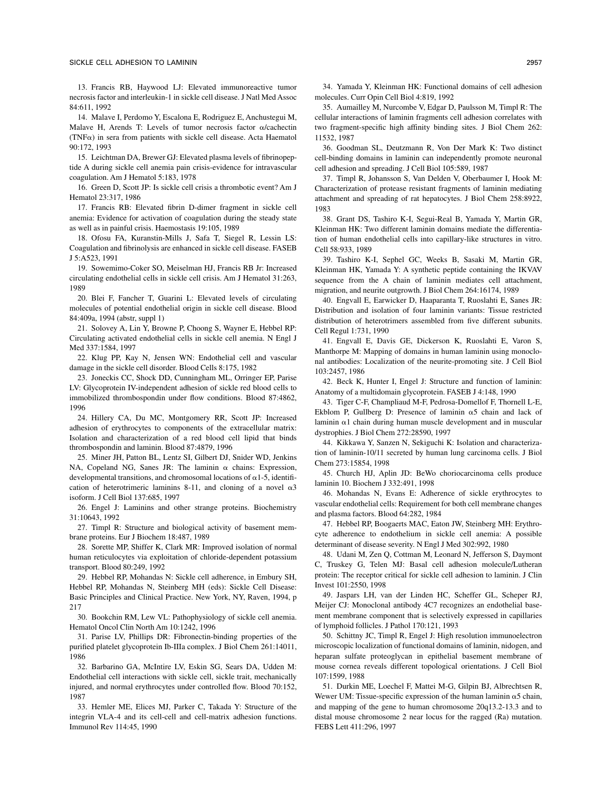13. Francis RB, Haywood LJ: Elevated immunoreactive tumor necrosis factor and interleukin-1 in sickle cell disease. J Natl Med Assoc 84:611, 1992

14. Malave I, Perdomo Y, Escalona E, Rodriguez E, Anchustegui M, Malave H, Arends T: Levels of tumor necrosis factor  $\alpha$ /cachectin (TNF $\alpha$ ) in sera from patients with sickle cell disease. Acta Haematol 90:172, 1993

15. Leichtman DA, Brewer GJ: Elevated plasma levels of fibrinopeptide A during sickle cell anemia pain crisis-evidence for intravascular coagulation. Am J Hematol 5:183, 1978

16. Green D, Scott JP: Is sickle cell crisis a thrombotic event? Am J Hematol 23:317, 1986

17. Francis RB: Elevated fibrin D-dimer fragment in sickle cell anemia: Evidence for activation of coagulation during the steady state as well as in painful crisis. Haemostasis 19:105, 1989

18. Ofosu FA, Kuranstin-Mills J, Safa T, Siegel R, Lessin LS: Coagulation and fibrinolysis are enhanced in sickle cell disease. FASEB J 5:A523, 1991

19. Sowemimo-Coker SO, Meiselman HJ, Francis RB Jr: Increased circulating endothelial cells in sickle cell crisis. Am J Hematol 31:263, 1989

20. Blei F, Fancher T, Guarini L: Elevated levels of circulating molecules of potential endothelial origin in sickle cell disease. Blood 84:409a, 1994 (abstr, suppl 1)

21. Solovey A, Lin Y, Browne P, Choong S, Wayner E, Hebbel RP: Circulating activated endothelial cells in sickle cell anemia. N Engl J Med 337:1584, 1997

22. Klug PP, Kay N, Jensen WN: Endothelial cell and vascular damage in the sickle cell disorder. Blood Cells 8:175, 1982

23. Joneckis CC, Shock DD, Cunningham ML, Orringer EP, Parise LV: Glycoprotein IV-independent adhesion of sickle red blood cells to immobilized thrombospondin under flow conditions. Blood 87:4862, 1996

24. Hillery CA, Du MC, Montgomery RR, Scott JP: Increased adhesion of erythrocytes to components of the extracellular matrix: Isolation and characterization of a red blood cell lipid that binds thrombospondin and laminin. Blood 87:4879, 1996

25. Miner JH, Patton BL, Lentz SI, Gilbert DJ, Snider WD, Jenkins NA, Copeland NG, Sanes JR: The laminin  $\alpha$  chains: Expression, developmental transitions, and chromosomal locations of  $\alpha$ 1-5, identification of heterotrimeric laminins 8-11, and cloning of a novel  $\alpha$ 3 isoform. J Cell Biol 137:685, 1997

26. Engel J: Laminins and other strange proteins. Biochemistry 31:10643, 1992

27. Timpl R: Structure and biological activity of basement membrane proteins. Eur J Biochem 18:487, 1989

28. Sorette MP, Shiffer K, Clark MR: Improved isolation of normal human reticulocytes via exploitation of chloride-dependent potassium transport. Blood 80:249, 1992

29. Hebbel RP, Mohandas N: Sickle cell adherence, in Embury SH, Hebbel RP, Mohandas N, Steinberg MH (eds): Sickle Cell Disease: Basic Principles and Clinical Practice. New York, NY, Raven, 1994, p 217

30. Bookchin RM, Lew VL: Pathophysiology of sickle cell anemia. Hematol Oncol Clin North Am 10:1242, 1996

31. Parise LV, Phillips DR: Fibronectin-binding properties of the purified platelet glycoprotein Ib-IIIa complex. J Biol Chem 261:14011, 1986

32. Barbarino GA, McIntire LV, Eskin SG, Sears DA, Udden M: Endothelial cell interactions with sickle cell, sickle trait, mechanically injured, and normal erythrocytes under controlled flow. Blood 70:152, 1987

33. Hemler ME, Elices MJ, Parker C, Takada Y: Structure of the integrin VLA-4 and its cell-cell and cell-matrix adhesion functions. Immunol Rev 114:45, 1990

34. Yamada Y, Kleinman HK: Functional domains of cell adhesion molecules. Curr Opin Cell Biol 4:819, 1992

35. Aumailley M, Nurcombe V, Edgar D, Paulsson M, Timpl R: The cellular interactions of laminin fragments cell adhesion correlates with two fragment-specific high affinity binding sites. J Biol Chem 262: 11532, 1987

36. Goodman SL, Deutzmann R, Von Der Mark K: Two distinct cell-binding domains in laminin can independently promote neuronal cell adhesion and spreading. J Cell Biol 105:589, 1987

37. Timpl R, Johansson S, Van Delden V, Oberbaumer I, Hook M: Characterization of protease resistant fragments of laminin mediating attachment and spreading of rat hepatocytes. J Biol Chem 258:8922, 1983

38. Grant DS, Tashiro K-I, Segui-Real B, Yamada Y, Martin GR, Kleinman HK: Two different laminin domains mediate the differentiation of human endothelial cells into capillary-like structures in vitro. Cell 58:933, 1989

39. Tashiro K-I, Sephel GC, Weeks B, Sasaki M, Martin GR, Kleinman HK, Yamada Y: A synthetic peptide containing the IKVAV sequence from the A chain of laminin mediates cell attachment, migration, and neurite outgrowth. J Biol Chem 264:16174, 1989

40. Engvall E, Earwicker D, Haaparanta T, Ruoslahti E, Sanes JR: Distribution and isolation of four laminin variants: Tissue restricted distribution of heterotrimers assembled from five different subunits. Cell Regul 1:731, 1990

41. Engvall E, Davis GE, Dickerson K, Ruoslahti E, Varon S, Manthorpe M: Mapping of domains in human laminin using monoclonal antibodies: Localization of the neurite-promoting site. J Cell Biol 103:2457, 1986

42. Beck K, Hunter I, Engel J: Structure and function of laminin: Anatomy of a multidomain glycoprotein. FASEB J 4:148, 1990

43. Tiger C-F, Champliaud M-F, Pedrosa-Domellof F, Thornell L-E, Ekblom P, Gullberg D: Presence of laminin  $\alpha$ 5 chain and lack of laminin  $\alpha$ 1 chain during human muscle development and in muscular dystrophies. J Biol Chem 272:28590, 1997

44. Kikkawa Y, Sanzen N, Sekiguchi K: Isolation and characterization of laminin-10/11 secreted by human lung carcinoma cells. J Biol Chem 273:15854, 1998

45. Church HJ, Aplin JD: BeWo choriocarcinoma cells produce laminin 10. Biochem J 332:491, 1998

46. Mohandas N, Evans E: Adherence of sickle erythrocytes to vascular endothelial cells: Requirement for both cell membrane changes and plasma factors. Blood 64:282, 1984

47. Hebbel RP, Boogaerts MAC, Eaton JW, Steinberg MH: Erythrocyte adherence to endothelium in sickle cell anemia: A possible determinant of disease severity. N Engl J Med 302:992, 1980

48. Udani M, Zen Q, Cottman M, Leonard N, Jefferson S, Daymont C, Truskey G, Telen MJ: Basal cell adhesion molecule/Lutheran protein: The receptor critical for sickle cell adhesion to laminin. J Clin Invest 101:2550, 1998

49. Jaspars LH, van der Linden HC, Scheffer GL, Scheper RJ, Meijer CJ: Monoclonal antibody 4C7 recognizes an endothelial basement membrane component that is selectively expressed in capillaries of lymphoid follicles. J Pathol 170:121, 1993

50. Schittny JC, Timpl R, Engel J: High resolution immunoelectron microscopic localization of functional domains of laminin, nidogen, and heparan sulfate proteoglycan in epithelial basement membrane of mouse cornea reveals different topological orientations. J Cell Biol 107:1599, 1988

51. Durkin ME, Loechel F, Mattei M-G, Gilpin BJ, Albrechtsen R, Wewer UM: Tissue-specific expression of the human laminin  $\alpha$ 5 chain, and mapping of the gene to human chromosome 20q13.2-13.3 and to distal mouse chromosome 2 near locus for the ragged (Ra) mutation. FEBS Lett 411:296, 1997